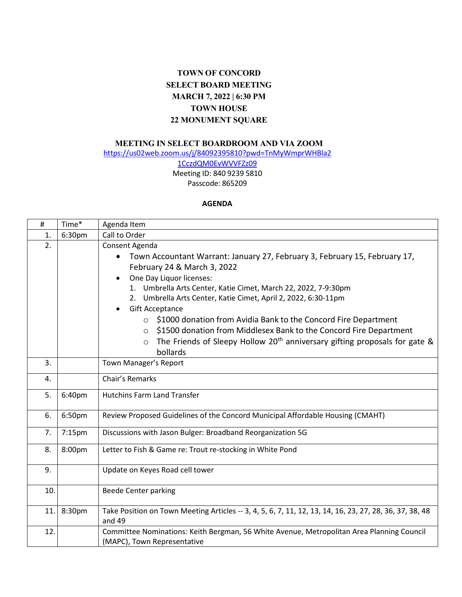## **TOWN OF CONCORD SELECT BOARD MEETING MARCH 7, 2022 | 6:30 PM TOWN HOUSE 22 MONUMENT SQUARE**

## **MEETING IN SELECT BOARDROOM AND VIA ZOOM**

[https://us02web.zoom.us/j/84092395810?pwd=TnMyWmprWHBla2](https://us02web.zoom.us/j/84092395810?pwd=TnMyWmprWHBla21CczdQM0EvWVVFZz09)

[1CczdQM0EvWVVFZz09](https://us02web.zoom.us/j/84092395810?pwd=TnMyWmprWHBla21CczdQM0EvWVVFZz09) Meeting ID: 840 9239 5810

Passcode: 865209

## **AGENDA**

| $\#$ | Time*  | Agenda Item                                                                                                                                                                                                                                                                                                                                                                                                                                                                                                                                                                                                                     |
|------|--------|---------------------------------------------------------------------------------------------------------------------------------------------------------------------------------------------------------------------------------------------------------------------------------------------------------------------------------------------------------------------------------------------------------------------------------------------------------------------------------------------------------------------------------------------------------------------------------------------------------------------------------|
| 1.   | 6:30pm | Call to Order                                                                                                                                                                                                                                                                                                                                                                                                                                                                                                                                                                                                                   |
| 2.   |        | Consent Agenda<br>Town Accountant Warrant: January 27, February 3, February 15, February 17,<br>February 24 & March 3, 2022<br>One Day Liquor licenses:<br>$\bullet$<br>1. Umbrella Arts Center, Katie Cimet, March 22, 2022, 7-9:30pm<br>2. Umbrella Arts Center, Katie Cimet, April 2, 2022, 6:30-11pm<br><b>Gift Acceptance</b><br>$\bullet$<br>\$1000 donation from Avidia Bank to the Concord Fire Department<br>$\circ$<br>\$1500 donation from Middlesex Bank to the Concord Fire Department<br>$\circ$<br>The Friends of Sleepy Hollow 20 <sup>th</sup> anniversary gifting proposals for gate &<br>$\circ$<br>bollards |
| 3.   |        | Town Manager's Report                                                                                                                                                                                                                                                                                                                                                                                                                                                                                                                                                                                                           |
| 4.   |        | Chair's Remarks                                                                                                                                                                                                                                                                                                                                                                                                                                                                                                                                                                                                                 |
| 5.   | 6:40pm | <b>Hutchins Farm Land Transfer</b>                                                                                                                                                                                                                                                                                                                                                                                                                                                                                                                                                                                              |
| 6.   | 6:50pm | Review Proposed Guidelines of the Concord Municipal Affordable Housing (CMAHT)                                                                                                                                                                                                                                                                                                                                                                                                                                                                                                                                                  |
| 7.   | 7:15pm | Discussions with Jason Bulger: Broadband Reorganization 5G                                                                                                                                                                                                                                                                                                                                                                                                                                                                                                                                                                      |
| 8.   | 8:00pm | Letter to Fish & Game re: Trout re-stocking in White Pond                                                                                                                                                                                                                                                                                                                                                                                                                                                                                                                                                                       |
| 9.   |        | Update on Keyes Road cell tower                                                                                                                                                                                                                                                                                                                                                                                                                                                                                                                                                                                                 |
| 10.  |        | <b>Beede Center parking</b>                                                                                                                                                                                                                                                                                                                                                                                                                                                                                                                                                                                                     |
| 11.  | 8:30pm | Take Position on Town Meeting Articles -- 3, 4, 5, 6, 7, 11, 12, 13, 14, 16, 23, 27, 28, 36, 37, 38, 48<br>and 49                                                                                                                                                                                                                                                                                                                                                                                                                                                                                                               |
| 12.  |        | Committee Nominations: Keith Bergman, 56 White Avenue, Metropolitan Area Planning Council<br>(MAPC), Town Representative                                                                                                                                                                                                                                                                                                                                                                                                                                                                                                        |